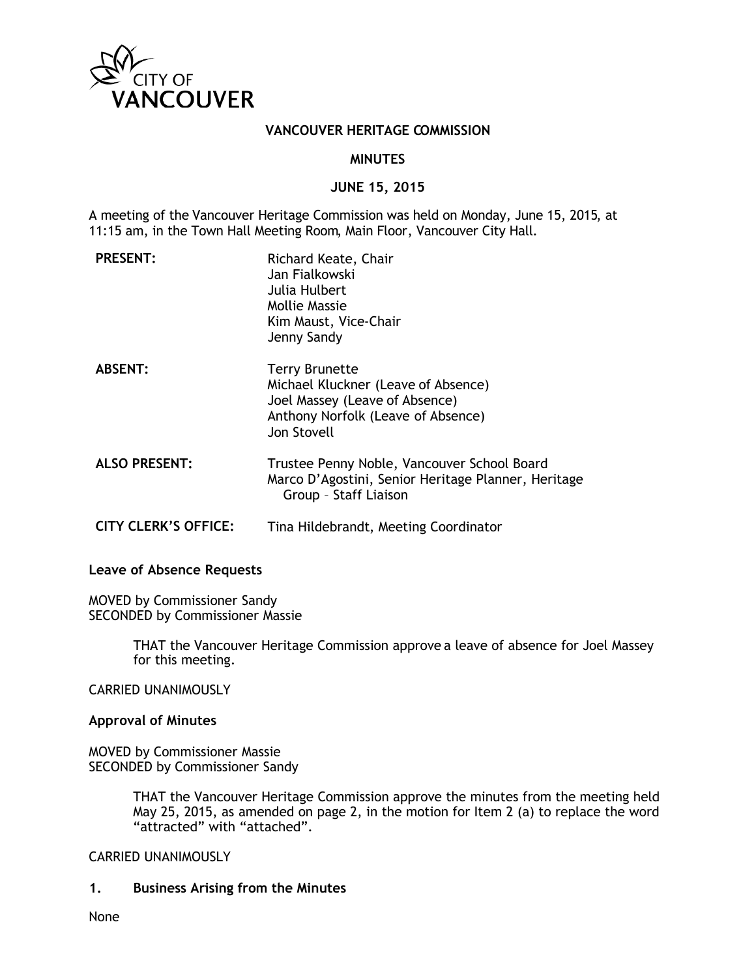

#### **VANCOUVER HERITAGE COMMISSION**

#### **MINUTES**

#### **JUNE 15, 2015**

A meeting of the Vancouver Heritage Commission was held on Monday, June 15, 2015, at 11:15 am, in the Town Hall Meeting Room, Main Floor, Vancouver City Hall.

| <b>PRESENT:</b>             | Richard Keate, Chair<br>Jan Fialkowski<br>Julia Hulbert<br>Mollie Massie<br>Kim Maust, Vice-Chair<br>Jenny Sandy                                    |
|-----------------------------|-----------------------------------------------------------------------------------------------------------------------------------------------------|
| <b>ABSENT:</b>              | <b>Terry Brunette</b><br>Michael Kluckner (Leave of Absence)<br>Joel Massey (Leave of Absence)<br>Anthony Norfolk (Leave of Absence)<br>Jon Stovell |
| <b>ALSO PRESENT:</b>        | Trustee Penny Noble, Vancouver School Board<br>Marco D'Agostini, Senior Heritage Planner, Heritage<br>Group - Staff Liaison                         |
| <b>CITY CLERK'S OFFICE:</b> | Tina Hildebrandt, Meeting Coordinator                                                                                                               |

### **Leave of Absence Requests**

MOVED by Commissioner Sandy SECONDED by Commissioner Massie

> THAT the Vancouver Heritage Commission approve a leave of absence for Joel Massey for this meeting.

CARRIED UNANIMOUSLY

#### **Approval of Minutes**

MOVED by Commissioner Massie SECONDED by Commissioner Sandy

> THAT the Vancouver Heritage Commission approve the minutes from the meeting held May 25, 2015, as amended on page 2, in the motion for Item 2 (a) to replace the word "attracted" with "attached".

#### CARRIED UNANIMOUSLY

#### **1. Business Arising from the Minutes**

None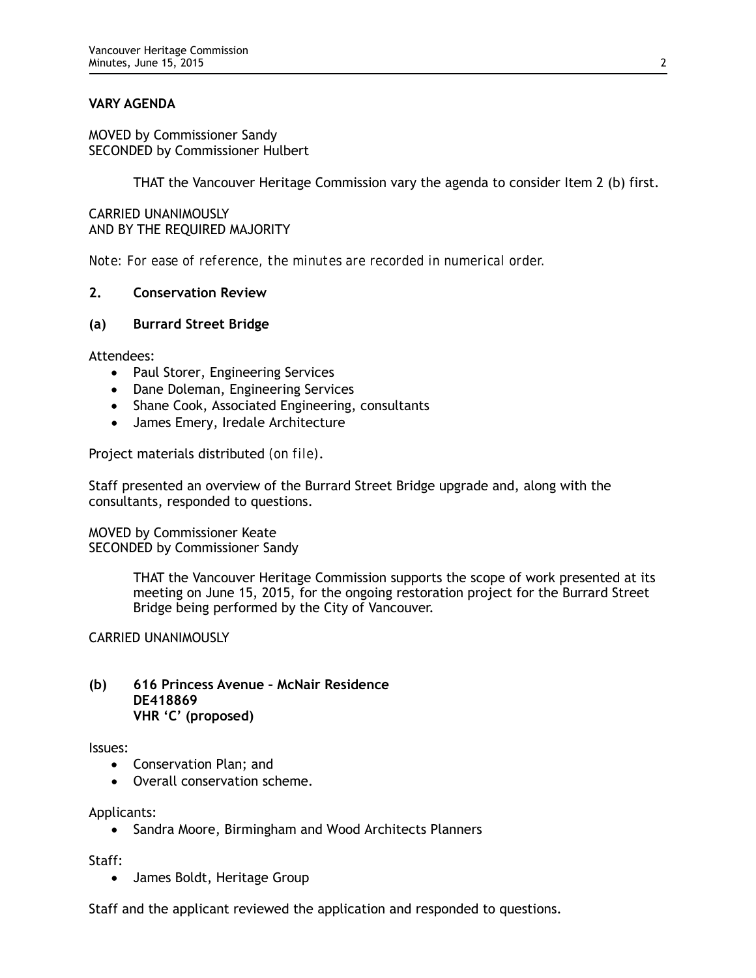## **VARY AGENDA**

MOVED by Commissioner Sandy SECONDED by Commissioner Hulbert

THAT the Vancouver Heritage Commission vary the agenda to consider Item 2 (b) first.

CARRIED UNANIMOUSLY AND BY THE REQUIRED MAJORITY

*Note: For ease of reference, the minutes are recorded in numerical order.*

### **2. Conservation Review**

#### **(a) Burrard Street Bridge**

Attendees:

- Paul Storer, Engineering Services
- Dane Doleman, Engineering Services
- Shane Cook, Associated Engineering, consultants
- James Emery, Iredale Architecture

Project materials distributed *(on file)*.

Staff presented an overview of the Burrard Street Bridge upgrade and, along with the consultants, responded to questions.

MOVED by Commissioner Keate SECONDED by Commissioner Sandy

> THAT the Vancouver Heritage Commission supports the scope of work presented at its meeting on June 15, 2015, for the ongoing restoration project for the Burrard Street Bridge being performed by the City of Vancouver.

CARRIED UNANIMOUSLY

### **(b) 616 Princess Avenue – McNair Residence DE418869 VHR 'C' (proposed)**

#### Issues:

- Conservation Plan; and
- Overall conservation scheme.

Applicants:

• Sandra Moore, Birmingham and Wood Architects Planners

Staff:

• James Boldt, Heritage Group

Staff and the applicant reviewed the application and responded to questions.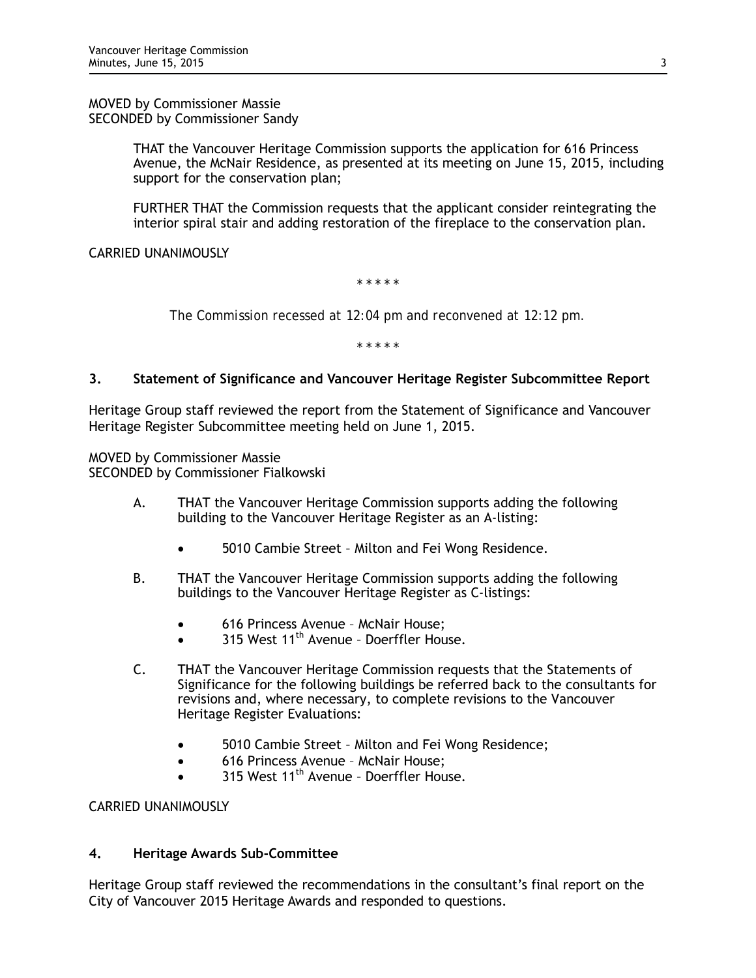MOVED by Commissioner Massie SECONDED by Commissioner Sandy

> THAT the Vancouver Heritage Commission supports the application for 616 Princess Avenue, the McNair Residence, as presented at its meeting on June 15, 2015, including support for the conservation plan;

FURTHER THAT the Commission requests that the applicant consider reintegrating the interior spiral stair and adding restoration of the fireplace to the conservation plan.

# CARRIED UNANIMOUSLY

*\* \* \* \* \**

*The Commission recessed at 12:04 pm and reconvened at 12:12 pm.*

*\* \* \* \* \**

## **3. Statement of Significance and Vancouver Heritage Register Subcommittee Report**

Heritage Group staff reviewed the report from the Statement of Significance and Vancouver Heritage Register Subcommittee meeting held on June 1, 2015.

MOVED by Commissioner Massie SECONDED by Commissioner Fialkowski

- A. THAT the Vancouver Heritage Commission supports adding the following building to the Vancouver Heritage Register as an A-listing:
	- 5010 Cambie Street Milton and Fei Wong Residence.
- B. THAT the Vancouver Heritage Commission supports adding the following buildings to the Vancouver Heritage Register as C-listings:
	- 616 Princess Avenue McNair House;
	- 315 West 11<sup>th</sup> Avenue Doerffler House.
- C. THAT the Vancouver Heritage Commission requests that the Statements of Significance for the following buildings be referred back to the consultants for revisions and, where necessary, to complete revisions to the Vancouver Heritage Register Evaluations:
	- 5010 Cambie Street Milton and Fei Wong Residence;
	- 616 Princess Avenue McNair House;
	- 315 West  $11<sup>th</sup>$  Avenue Doerffler House.

CARRIED UNANIMOUSLY

## **4. Heritage Awards Sub-Committee**

Heritage Group staff reviewed the recommendations in the consultant's final report on the City of Vancouver 2015 Heritage Awards and responded to questions.